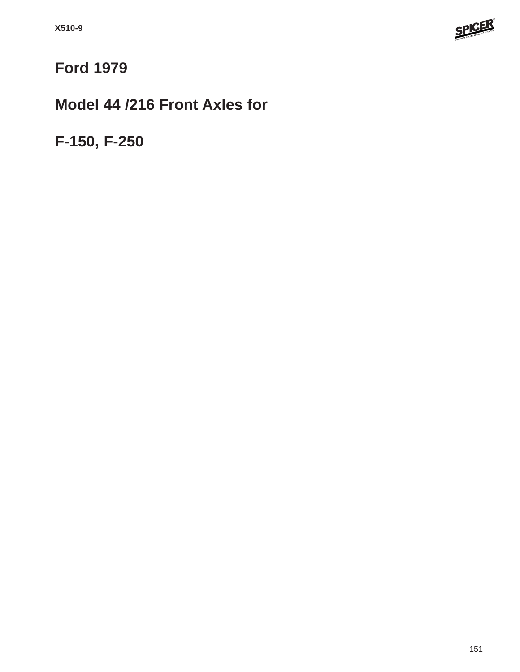

# **Ford 1979**

## **Model 44 /216 Front Axles for**

**F-150, F-250**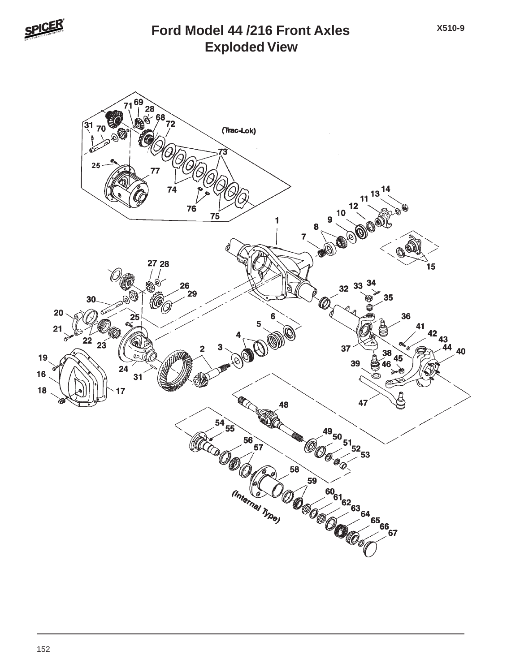

#### **Exploded View Ford Model 44 /216 Front Axles**

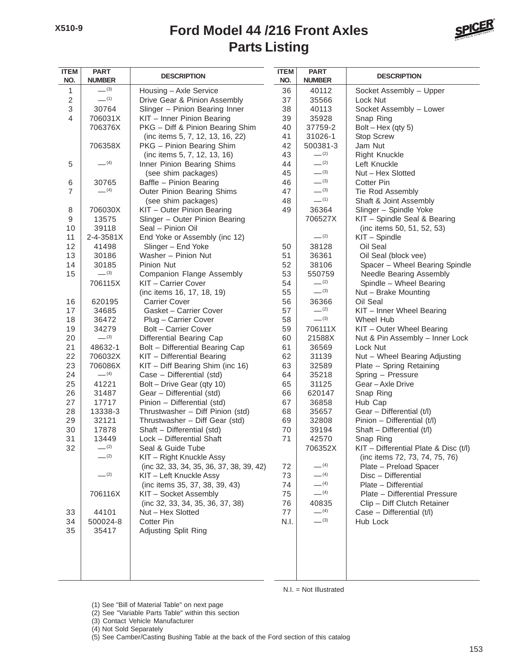## **Parts Listing Ford Model 44 /216 Front Axles**



| <b>ITEM</b><br>NO.        | <b>PART</b><br><b>NUMBER</b> | <b>DESCRIPTION</b>                       | <b>ITEM</b><br>NO. | <b>PART</b><br><b>NUMBER</b> | <b>DESCRIPTION</b>                    |
|---------------------------|------------------------------|------------------------------------------|--------------------|------------------------------|---------------------------------------|
| 1                         | $-^{(3)}$                    | Housing - Axle Service                   | 36                 | 40112                        | Socket Assembly - Upper               |
| $\sqrt{2}$                | $-$ (1)                      | Drive Gear & Pinion Assembly             | 37                 | 35566                        | Lock Nut                              |
| $\ensuremath{\mathsf{3}}$ | 30764                        | Slinger - Pinion Bearing Inner           | 38                 | 40113                        | Socket Assembly - Lower               |
| $\overline{4}$            | 706031X                      | KIT - Inner Pinion Bearing               | 39                 | 35928                        | Snap Ring                             |
|                           | 706376X                      | PKG - Diff & Pinion Bearing Shim         | 40                 | 37759-2                      | Bolt $-$ Hex (qty 5)                  |
|                           |                              | (inc items 5, 7, 12, 13, 16, 22)         | 41                 | 31026-1                      | <b>Stop Screw</b>                     |
|                           | 706358X                      | PKG - Pinion Bearing Shim                | 42                 | 500381-3                     | Jam Nut                               |
|                           |                              | (inc items 5, 7, 12, 13, 16)             | 43                 | $-^{(2)}$                    | <b>Right Knuckle</b>                  |
| 5                         | $-$ (4)                      | Inner Pinion Bearing Shims               | 44                 | $-^{(2)}$                    | Left Knuckle                          |
|                           |                              | (see shim packages)                      | 45                 | $-^{(3)}$                    | Nut - Hex Slotted                     |
| 6                         | 30765                        | Baffle - Pinion Bearing                  | 46                 | $-^{(3)}$                    | <b>Cotter Pin</b>                     |
| $\overline{7}$            | $-$ (4)                      | Outer Pinion Bearing Shims               | 47                 | $-^{(3)}$                    | Tie Rod Assembly                      |
|                           |                              | (see shim packages)                      | 48                 | $-^{(1)}$                    | Shaft & Joint Assembly                |
| 8                         | 706030X                      | KIT - Outer Pinion Bearing               | 49                 | 36364                        | Slinger - Spindle Yoke                |
| 9                         | 13575                        | Slinger - Outer Pinion Bearing           |                    | 706527X                      | KIT - Spindle Seal & Bearing          |
| 10                        | 39118                        | Seal - Pinion Oil                        |                    |                              | (inc items 50, 51, 52, 53)            |
| 11                        | 2-4-3581X                    | End Yoke or Assembly (inc 12)            |                    | $-^{(2)}$                    | KIT - Spindle                         |
| 12                        | 41498                        | Slinger - End Yoke                       | 50                 | 38128                        | Oil Seal                              |
| 13                        | 30186                        | Washer - Pinion Nut                      | 51                 | 36361                        | Oil Seal (block vee)                  |
| 14                        | 30185                        | Pinion Nut                               | 52                 | 38106                        | Spacer - Wheel Bearing Spindle        |
| 15                        | $-^{(3)}$                    | <b>Companion Flange Assembly</b>         | 53                 | 550759                       | Needle Bearing Assembly               |
|                           | 706115X                      | KIT - Carrier Cover                      | 54                 | $-^{(2)}$                    | Spindle - Wheel Bearing               |
|                           |                              | (inc items 16, 17, 18, 19)               | 55                 | $-^{(3)}$                    | Nut - Brake Mounting                  |
| 16                        | 620195                       | <b>Carrier Cover</b>                     | 56                 | 36366                        | Oil Seal                              |
| 17                        | 34685                        | Gasket - Carrier Cover                   | 57                 | $-^{(2)}$                    | KIT - Inner Wheel Bearing             |
| 18                        | 36472                        | Plug - Carrier Cover                     | 58                 | $-^{(3)}$                    | Wheel Hub                             |
| 19                        | 34279                        | Bolt - Carrier Cover                     | 59                 | 706111X                      | KIT - Outer Wheel Bearing             |
| 20                        | $-^{(3)}$                    | Differential Bearing Cap                 | 60                 | 21588X                       | Nut & Pin Assembly - Inner Lock       |
| 21                        | 48632-1                      | Bolt - Differential Bearing Cap          | 61                 | 36569                        | Lock Nut                              |
| 22                        | 706032X                      | KIT - Differential Bearing               | 62                 | 31139                        | Nut - Wheel Bearing Adjusting         |
| 23                        | 706086X                      | KIT - Diff Bearing Shim (inc 16)         | 63                 | 32589                        | Plate - Spring Retaining              |
| 24                        | $- (4)$                      | Case - Differential (std)                | 64                 | 35218                        | Spring - Pressure                     |
| 25                        | 41221                        | Bolt - Drive Gear (qty 10)               | 65                 | 31125                        | Gear-Axle Drive                       |
| 26                        | 31487                        | Gear - Differential (std)                | 66                 | 620147                       | Snap Ring                             |
| 27                        | 17717                        | Pinion - Differential (std)              | 67                 | 36858                        | Hub Cap                               |
| 28                        | 13338-3                      | Thrustwasher - Diff Pinion (std)         | 68                 | 35657                        | Gear - Differential (t/l)             |
| 29                        | 32121                        | Thrustwasher - Diff Gear (std)           | 69                 | 32808                        | Pinion - Differential (t/l)           |
| 30                        | 17878                        | Shaft - Differential (std)               | 70                 | 39194                        | Shaft - Differential (t/l)            |
| 31                        | 13449                        | Lock - Differential Shaft                | 71                 | 42570                        | Snap Ring                             |
| 32                        | $-^{(2)}$                    | Seal & Guide Tube                        |                    | 706352X                      | KIT - Differential Plate & Disc (t/l) |
|                           | $-^{(2)}$                    | KIT - Right Knuckle Assy                 |                    |                              | (inc items 72, 73, 74, 75, 76)        |
|                           |                              | (inc 32, 33, 34, 35, 36, 37, 38, 39, 42) | 72                 | $-$ (4)                      | Plate - Preload Spacer                |
|                           | $-^{(2)}$                    | KIT - Left Knuckle Assy                  | 73                 | $- (4)$                      | Disc - Differential                   |
|                           |                              | (inc items 35, 37, 38, 39, 43)           | 74                 | $-$ (4)                      | Plate - Differential                  |
|                           | 706116X                      | KIT - Socket Assembly                    | 75                 | $-$ (4)                      | Plate - Differential Pressure         |
|                           |                              | (inc 32, 33, 34, 35, 36, 37, 38)         | 76                 | 40835                        | Clip - Diff Clutch Retainer           |
| 33                        | 44101                        | Nut - Hex Slotted                        | 77                 | $-$ (4)                      | Case - Differential (t/l)             |
| 34                        | 500024-8                     | <b>Cotter Pin</b>                        | N.I.               | $-^{(3)}$                    | Hub Lock                              |
| 35                        | 35417                        | Adjusting Split Ring                     |                    |                              |                                       |
|                           |                              |                                          |                    |                              |                                       |
|                           |                              |                                          |                    |                              |                                       |
|                           |                              |                                          |                    |                              |                                       |

N.I. = Not Illustrated

(1) See "Bill of Material Table" on next page

(2) See "Variable Parts Table" within this section

(3) Contact Vehicle Manufacturer

(4) Not Sold Separately

(5) See Camber/Casting Bushing Table at the back of the Ford section of this catalog